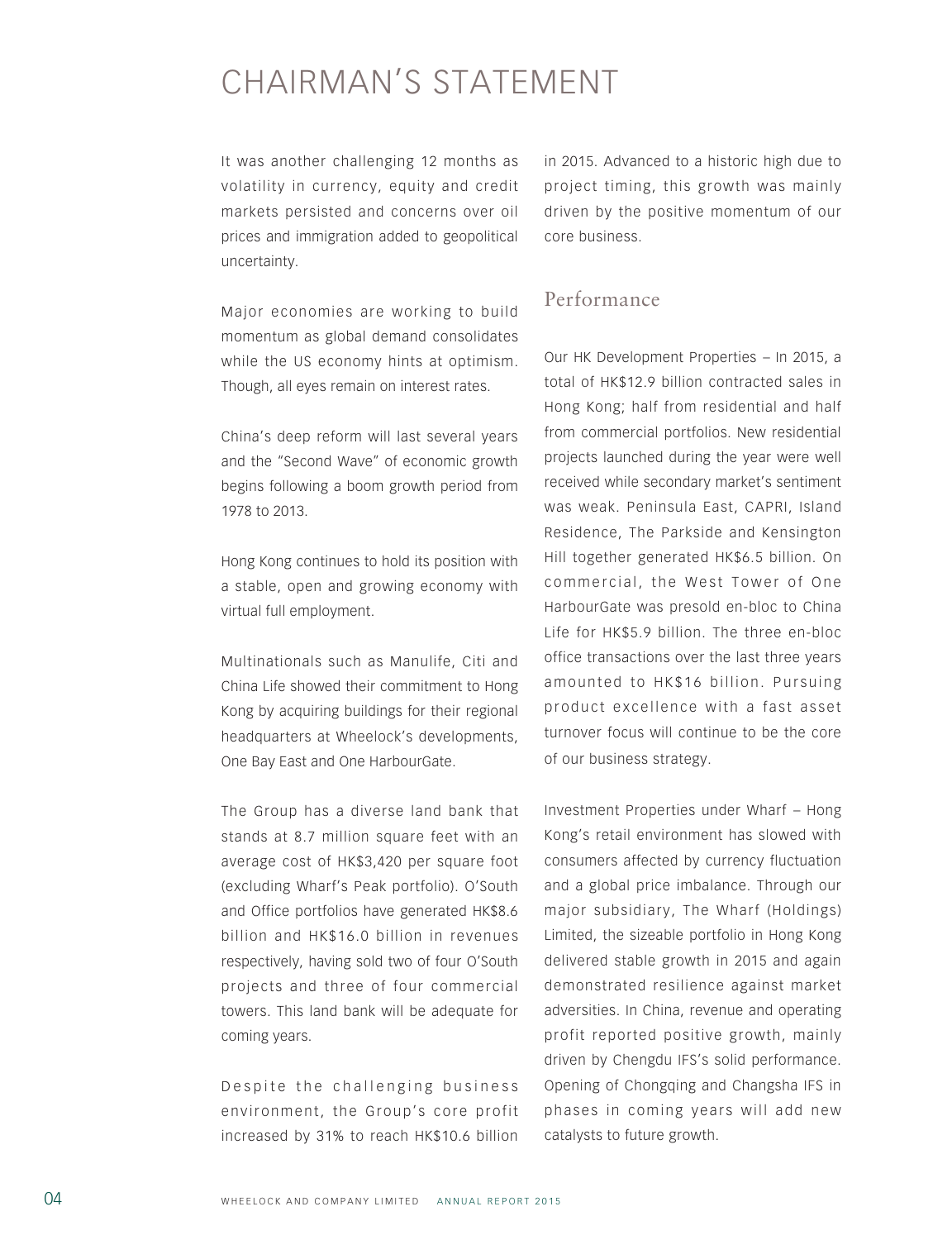## CHAIRMAN'S STATEMENT

It was another challenging 12 months as volatility in currency, equity and credit markets persisted and concerns over oil prices and immigration added to geopolitical uncertainty.

Major economies are working to build momentum as global demand consolidates while the US economy hints at optimism. Though, all eyes remain on interest rates.

China's deep reform will last several years and the "Second Wave" of economic growth begins following a boom growth period from 1978 to 2013.

Hong Kong continues to hold its position with a stable, open and growing economy with virtual full employment.

Multinationals such as Manulife, Citi and China Life showed their commitment to Hong Kong by acquiring buildings for their regional headquarters at Wheelock's developments, One Bay East and One HarbourGate.

The Group has a diverse land bank that stands at 8.7 million square feet with an average cost of HK\$3,420 per square foot (excluding Wharf's Peak portfolio). O'South and Office portfolios have generated HK\$8.6 billion and HK\$16.0 billion in revenues respectively, having sold two of four O'South projects and three of four commercial towers. This land bank will be adequate for coming years.

Despite the challenging business environment, the Group's core profit increased by 31% to reach HK\$10.6 billion

in 2015. Advanced to a historic high due to project timing, this growth was mainly driven by the positive momentum of our core business.

## Performance

Our HK Development Properties – In 2015, a total of HK\$12.9 billion contracted sales in Hong Kong; half from residential and half from commercial portfolios. New residential projects launched during the year were well received while secondary market's sentiment was weak. Peninsula East, CAPRI, Island Residence, The Parkside and Kensington Hill together generated HK\$6.5 billion. On commercial, the West Tower of One HarbourGate was presold en-bloc to China Life for HK\$5.9 billion. The three en-bloc office transactions over the last three years amounted to HK\$16 billion. Pursuing product excellence with a fast asset turnover focus will continue to be the core of our business strategy.

Investment Properties under Wharf – Hong Kong's retail environment has slowed with consumers affected by currency fluctuation and a global price imbalance. Through our major subsidiary, The Wharf (Holdings) Limited, the sizeable portfolio in Hong Kong delivered stable growth in 2015 and again demonstrated resilience against market adversities. In China, revenue and operating profit reported positive growth, mainly driven by Chengdu IFS's solid performance. Opening of Chongqing and Changsha IFS in phases in coming years will add new catalysts to future growth.